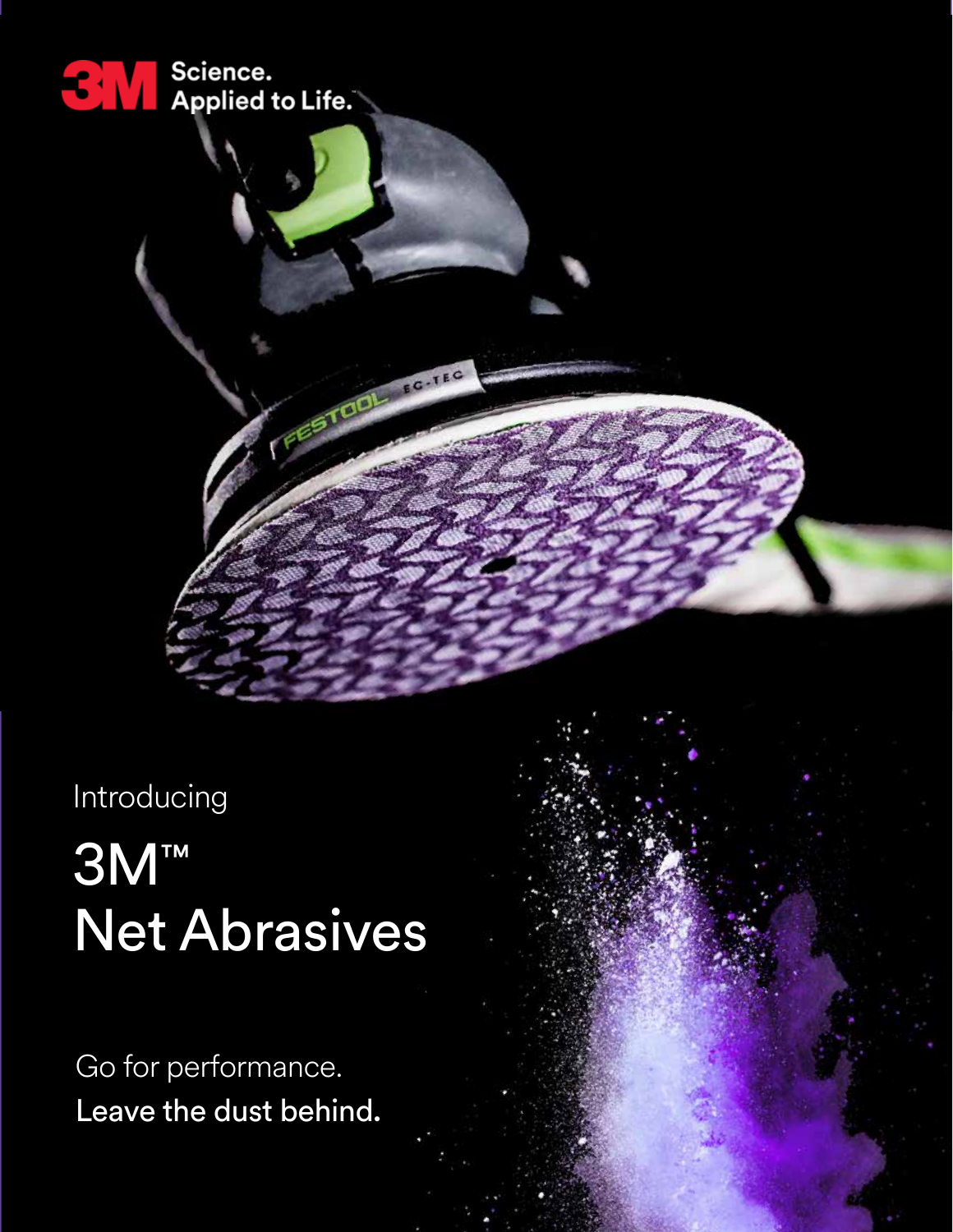

Introducing

# 3M™ Net Abrasives

Go for performance. Leave the dust behind.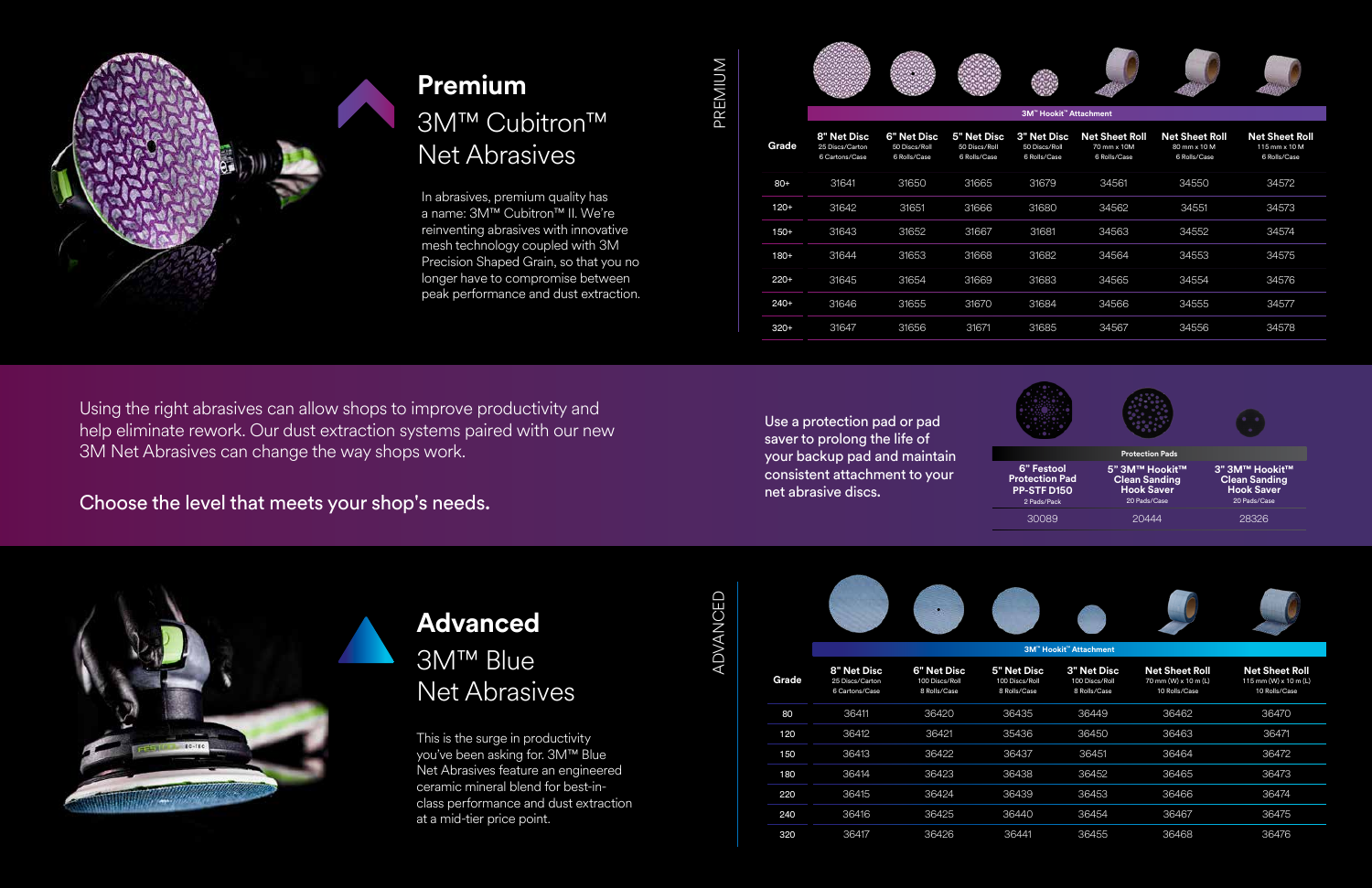

## **Premium**  3M™ Cubitron™ Net Abrasives

## **Advanced**  3M™ Blue Net Abrasives

Using the right abrasives can allow shops to improve productivity and help eliminate rework. Our dust extraction systems paired with our new 3M Net Abrasives can change the way shops work.

Choose the level that meets your shop's needs.

In abrasives, premium quality has a name: 3M™ Cubitron™ II. We're reinventing abrasives with innovative mesh technology coupled with 3M Precision Shaped Grain, so that you no longer have to compromise between peak performance and dust extraction.

This is the surge in productivity you've been asking for. 3M™ Blue Net Abrasives feature an engineered ceramic mineral blend for best-inclass performance and dust extraction at a mid-tier price point.

MUIMBAc PREMIUM

ADVANCED ADVANCED

|  | -                                                                                                       | ۰.                                                     |  |
|--|---------------------------------------------------------------------------------------------------------|--------------------------------------------------------|--|
|  | ٠<br>-<br>--<br>÷<br><b>Contract Contract Contract</b><br>e.<br>-<br>. .<br><br>٠<br>٠<br>٠<br>÷<br>. . | ٠<br>٠<br>_<br>×.<br><b>Barnet</b><br>٠<br>٠<br>٠<br>٠ |  |

|        | 3M™ Hookit™ Attachment                           |                                              |                                              |                                                     |                                                      |                                                       |                                                        |  |  |
|--------|--------------------------------------------------|----------------------------------------------|----------------------------------------------|-----------------------------------------------------|------------------------------------------------------|-------------------------------------------------------|--------------------------------------------------------|--|--|
| Grade  | 8" Net Disc<br>25 Discs/Carton<br>6 Cartons/Case | 6" Net Disc<br>50 Discs/Roll<br>6 Rolls/Case | 5" Net Disc<br>50 Discs/Roll<br>6 Rolls/Case | <b>3" Net Disc</b><br>50 Discs/Roll<br>6 Rolls/Case | <b>Net Sheet Roll</b><br>70 mm x 10M<br>6 Rolls/Case | <b>Net Sheet Roll</b><br>80 mm x 10 M<br>6 Rolls/Case | <b>Net Sheet Roll</b><br>115 mm x 10 M<br>6 Rolls/Case |  |  |
| $80+$  | 31641                                            | 31650                                        | 31665                                        | 31679                                               | 34561                                                | 34550                                                 | 34572                                                  |  |  |
| 120+   | 31642                                            | 31651                                        | 31666                                        | 31680                                               | 34562                                                | 34551                                                 | 34573                                                  |  |  |
| $150+$ | 31643                                            | 31652                                        | 31667                                        | 31681                                               | 34563                                                | 34552                                                 | 34574                                                  |  |  |
| $180+$ | 31644                                            | 31653                                        | 31668                                        | 31682                                               | 34564                                                | 34553                                                 | 34575                                                  |  |  |
| $220+$ | 31645                                            | 31654                                        | 31669                                        | 31683                                               | 34565                                                | 34554                                                 | 34576                                                  |  |  |
| $240+$ | 31646                                            | 31655                                        | 31670                                        | 31684                                               | 34566                                                | 34555                                                 | 34577                                                  |  |  |
| $320+$ | 31647                                            | 31656                                        | 31671                                        | 31685                                               | 34567                                                | 34556                                                 | 34578                                                  |  |  |
|        |                                                  |                                              |                                              |                                                     |                                                      |                                                       |                                                        |  |  |

**3M™ Hookit™ Attachment** 

| Grade | 8" Net Disc<br>25 Discs/Carton<br>6 Cartons/Case | 6" Net Disc<br>100 Discs/Roll<br>8 Rolls/Case | 5" Net Disc<br>100 Discs/Roll<br>8 Rolls/Case | <b>3" Net Disc</b><br>100 Discs/Roll<br>8 Rolls/Case | <b>Net Sheet Roll</b><br>70 mm (W) x 10 m (L)<br>10 Rolls/Case | <b>Net Sheet Roll</b><br>115 mm (W) x 10 m (L)<br>10 Rolls/Case |
|-------|--------------------------------------------------|-----------------------------------------------|-----------------------------------------------|------------------------------------------------------|----------------------------------------------------------------|-----------------------------------------------------------------|
| 80    | 36411                                            | 36420                                         | 36435                                         | 36449                                                | 36462                                                          | 36470                                                           |
| 120   | 36412                                            | 36421                                         | 35436                                         | 36450                                                | 36463                                                          | 36471                                                           |
| 150   | 36413                                            | 36422                                         | 36437                                         | 36451                                                | 36464                                                          | 36472                                                           |
| 180   | 36414                                            | 36423                                         | 36438                                         | 36452                                                | 36465                                                          | 36473                                                           |
| 220   | 36415                                            | 36424                                         | 36439                                         | 36453                                                | 36466                                                          | 36474                                                           |
| 240   | 36416                                            | 36425                                         | 36440                                         | 36454                                                | 36467                                                          | 36475                                                           |
| 320   | 36417                                            | 36426                                         | 36441                                         | 36455                                                | 36468                                                          | 36476                                                           |



Use a protection pad or pad saver to prolong the life of your backup pad and maintain consistent attachment to your net abrasive discs.



**Protection Pads 6" Festool Protection Pad PP-STF D150** 2 Pads/Pack **5" 3M™ Hookit™ Clean Sanding Hook Saver** 20 Pads/Case **3" 3M™ Hookit™ Clean Sanding Hook Saver** 20 Pads/Case 30089 20444 28326